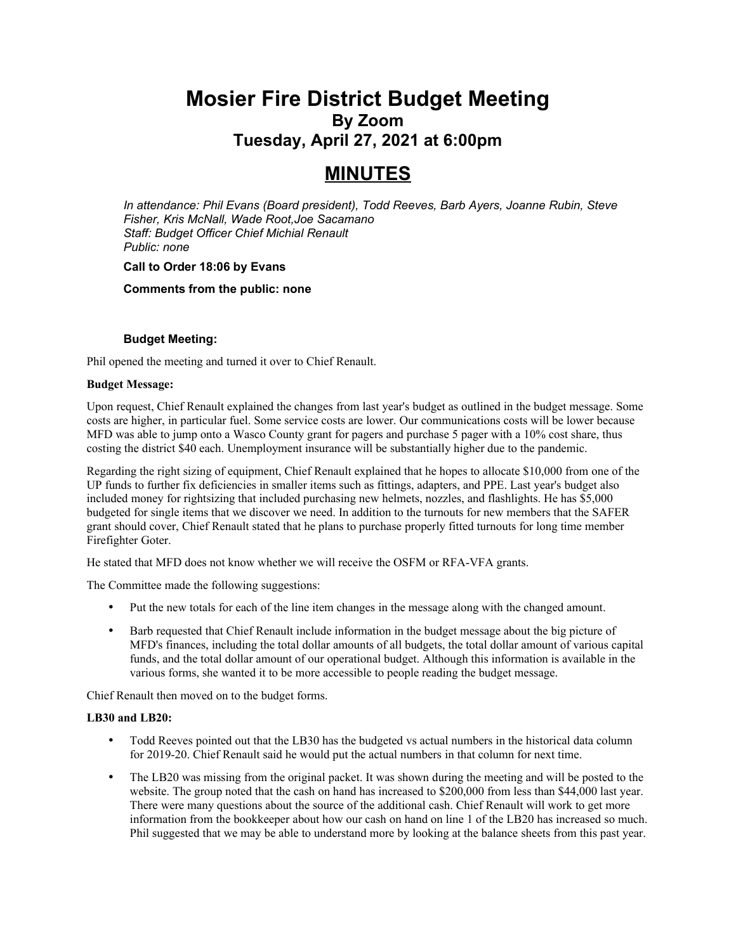# **Mosier Fire District Budget Meeting By Zoom Tuesday, April 27, 2021 at 6:00pm**

# **MINUTES**

*In attendance: Phil Evans (Board president), Todd Reeves, Barb Ayers, Joanne Rubin, Steve Fisher, Kris McNall, Wade Root,Joe Sacamano Staff: Budget Officer Chief Michial Renault Public: none*

#### **Call to Order 18:06 by Evans**

**Comments from the public: none**

#### **Budget Meeting:**

Phil opened the meeting and turned it over to Chief Renault.

#### **Budget Message:**

Upon request, Chief Renault explained the changes from last year's budget as outlined in the budget message. Some costs are higher, in particular fuel. Some service costs are lower. Our communications costs will be lower because MFD was able to jump onto a Wasco County grant for pagers and purchase 5 pager with a 10% cost share, thus costing the district \$40 each. Unemployment insurance will be substantially higher due to the pandemic.

Regarding the right sizing of equipment, Chief Renault explained that he hopes to allocate \$10,000 from one of the UP funds to further fix deficiencies in smaller items such as fittings, adapters, and PPE. Last year's budget also included money for rightsizing that included purchasing new helmets, nozzles, and flashlights. He has \$5,000 budgeted for single items that we discover we need. In addition to the turnouts for new members that the SAFER grant should cover, Chief Renault stated that he plans to purchase properly fitted turnouts for long time member Firefighter Goter.

He stated that MFD does not know whether we will receive the OSFM or RFA-VFA grants.

The Committee made the following suggestions:

- Put the new totals for each of the line item changes in the message along with the changed amount.
- Barb requested that Chief Renault include information in the budget message about the big picture of MFD's finances, including the total dollar amounts of all budgets, the total dollar amount of various capital funds, and the total dollar amount of our operational budget. Although this information is available in the various forms, she wanted it to be more accessible to people reading the budget message.

Chief Renault then moved on to the budget forms.

# **LB30 and LB20:**

- Todd Reeves pointed out that the LB30 has the budgeted vs actual numbers in the historical data column for 2019-20. Chief Renault said he would put the actual numbers in that column for next time.
- The LB20 was missing from the original packet. It was shown during the meeting and will be posted to the website. The group noted that the cash on hand has increased to \$200,000 from less than \$44,000 last year. There were many questions about the source of the additional cash. Chief Renault will work to get more information from the bookkeeper about how our cash on hand on line 1 of the LB20 has increased so much. Phil suggested that we may be able to understand more by looking at the balance sheets from this past year.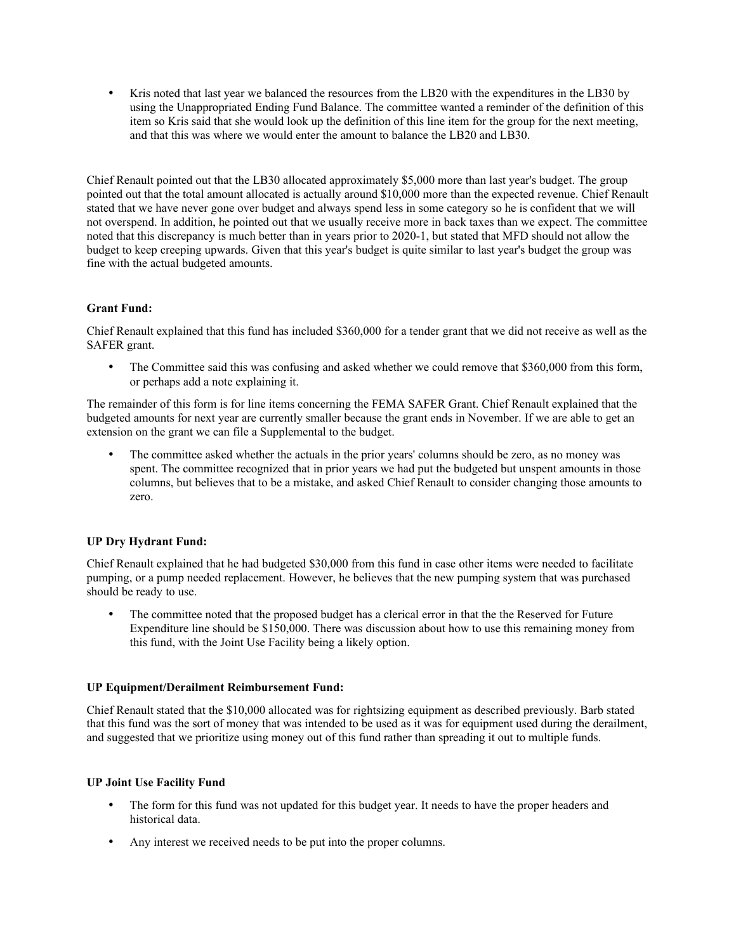Kris noted that last year we balanced the resources from the LB20 with the expenditures in the LB30 by using the Unappropriated Ending Fund Balance. The committee wanted a reminder of the definition of this item so Kris said that she would look up the definition of this line item for the group for the next meeting, and that this was where we would enter the amount to balance the LB20 and LB30.

Chief Renault pointed out that the LB30 allocated approximately \$5,000 more than last year's budget. The group pointed out that the total amount allocated is actually around \$10,000 more than the expected revenue. Chief Renault stated that we have never gone over budget and always spend less in some category so he is confident that we will not overspend. In addition, he pointed out that we usually receive more in back taxes than we expect. The committee noted that this discrepancy is much better than in years prior to 2020-1, but stated that MFD should not allow the budget to keep creeping upwards. Given that this year's budget is quite similar to last year's budget the group was fine with the actual budgeted amounts.

# **Grant Fund:**

Chief Renault explained that this fund has included \$360,000 for a tender grant that we did not receive as well as the SAFER grant.

• The Committee said this was confusing and asked whether we could remove that \$360,000 from this form, or perhaps add a note explaining it.

The remainder of this form is for line items concerning the FEMA SAFER Grant. Chief Renault explained that the budgeted amounts for next year are currently smaller because the grant ends in November. If we are able to get an extension on the grant we can file a Supplemental to the budget.

 The committee asked whether the actuals in the prior years' columns should be zero, as no money was spent. The committee recognized that in prior years we had put the budgeted but unspent amounts in those columns, but believes that to be a mistake, and asked Chief Renault to consider changing those amounts to zero.

# **UP Dry Hydrant Fund:**

Chief Renault explained that he had budgeted \$30,000 from this fund in case other items were needed to facilitate pumping, or a pump needed replacement. However, he believes that the new pumping system that was purchased should be ready to use.

 The committee noted that the proposed budget has a clerical error in that the the Reserved for Future Expenditure line should be \$150,000. There was discussion about how to use this remaining money from this fund, with the Joint Use Facility being a likely option.

# **UP Equipment/Derailment Reimbursement Fund:**

Chief Renault stated that the \$10,000 allocated was for rightsizing equipment as described previously. Barb stated that this fund was the sort of money that was intended to be used as it was for equipment used during the derailment, and suggested that we prioritize using money out of this fund rather than spreading it out to multiple funds.

# **UP Joint Use Facility Fund**

- The form for this fund was not updated for this budget year. It needs to have the proper headers and historical data.
- Any interest we received needs to be put into the proper columns.